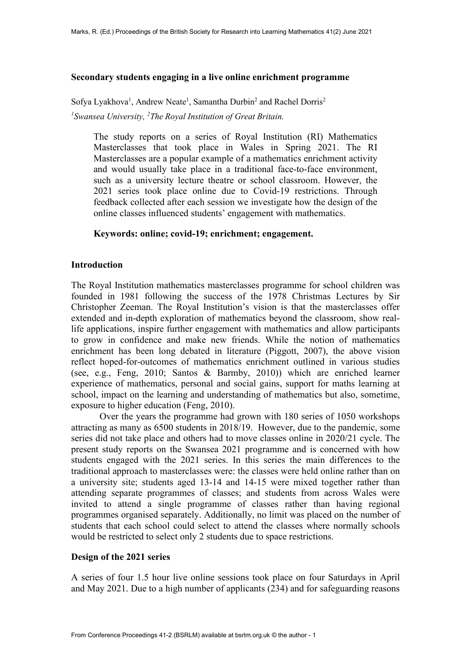# **Secondary students engaging in a live online enrichment programme**

Sofya Lyakhova<sup>1</sup>, Andrew Neate<sup>1</sup>, Samantha Durbin<sup>2</sup> and Rachel Dorris<sup>2</sup> *1 Swansea University, 2 The Royal Institution of Great Britain.*

The study reports on a series of Royal Institution (RI) Mathematics Masterclasses that took place in Wales in Spring 2021. The RI Masterclasses are a popular example of a mathematics enrichment activity and would usually take place in a traditional face-to-face environment, such as a university lecture theatre or school classroom. However, the 2021 series took place online due to Covid-19 restrictions. Through feedback collected after each session we investigate how the design of the online classes influenced students' engagement with mathematics.

# **Keywords: online; covid-19; enrichment; engagement.**

# **Introduction**

The Royal Institution mathematics masterclasses programme for school children was founded in 1981 following the success of the 1978 Christmas Lectures by Sir Christopher Zeeman. The Royal Institution's vision is that the masterclasses offer extended and in-depth exploration of mathematics beyond the classroom, show reallife applications, inspire further engagement with mathematics and allow participants to grow in confidence and make new friends. While the notion of mathematics enrichment has been long debated in literature (Piggott, 2007), the above vision reflect hoped-for-outcomes of mathematics enrichment outlined in various studies (see, e.g., Feng, 2010; Santos & Barmby, 2010)) which are enriched learner experience of mathematics, personal and social gains, support for maths learning at school, impact on the learning and understanding of mathematics but also, sometime, exposure to higher education (Feng, 2010).

Over the years the programme had grown with 180 series of 1050 workshops attracting as many as 6500 students in 2018/19. However, due to the pandemic, some series did not take place and others had to move classes online in 2020/21 cycle. The present study reports on the Swansea 2021 programme and is concerned with how students engaged with the 2021 series. In this series the main differences to the traditional approach to masterclasses were: the classes were held online rather than on a university site; students aged 13-14 and 14-15 were mixed together rather than attending separate programmes of classes; and students from across Wales were invited to attend a single programme of classes rather than having regional programmes organised separately. Additionally, no limit was placed on the number of students that each school could select to attend the classes where normally schools would be restricted to select only 2 students due to space restrictions.

#### **Design of the 2021 series**

A series of four 1.5 hour live online sessions took place on four Saturdays in April and May 2021. Due to a high number of applicants (234) and for safeguarding reasons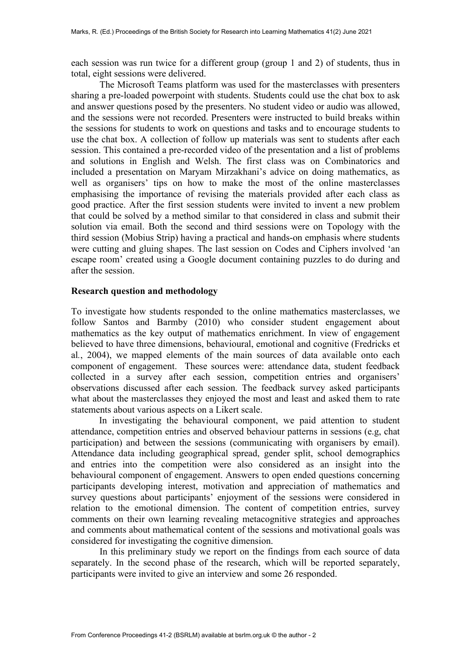each session was run twice for a different group (group 1 and 2) of students, thus in total, eight sessions were delivered.

The Microsoft Teams platform was used for the masterclasses with presenters sharing a pre-loaded powerpoint with students. Students could use the chat box to ask and answer questions posed by the presenters. No student video or audio was allowed, and the sessions were not recorded. Presenters were instructed to build breaks within the sessions for students to work on questions and tasks and to encourage students to use the chat box. A collection of follow up materials was sent to students after each session. This contained a pre-recorded video of the presentation and a list of problems and solutions in English and Welsh. The first class was on Combinatorics and included a presentation on Maryam Mirzakhani's advice on doing mathematics, as well as organisers' tips on how to make the most of the online masterclasses emphasising the importance of revising the materials provided after each class as good practice. After the first session students were invited to invent a new problem that could be solved by a method similar to that considered in class and submit their solution via email. Both the second and third sessions were on Topology with the third session (Mobius Strip) having a practical and hands-on emphasis where students were cutting and gluing shapes. The last session on Codes and Ciphers involved 'an escape room' created using a Google document containing puzzles to do during and after the session.

# **Research question and methodology**

To investigate how students responded to the online mathematics masterclasses, we follow Santos and Barmby (2010) who consider student engagement about mathematics as the key output of mathematics enrichment. In view of engagement believed to have three dimensions, behavioural, emotional and cognitive (Fredricks et al*.*, 2004), we mapped elements of the main sources of data available onto each component of engagement. These sources were: attendance data, student feedback collected in a survey after each session, competition entries and organisers' observations discussed after each session. The feedback survey asked participants what about the masterclasses they enjoyed the most and least and asked them to rate statements about various aspects on a Likert scale.

In investigating the behavioural component, we paid attention to student attendance, competition entries and observed behaviour patterns in sessions (e.g, chat participation) and between the sessions (communicating with organisers by email). Attendance data including geographical spread, gender split, school demographics and entries into the competition were also considered as an insight into the behavioural component of engagement. Answers to open ended questions concerning participants developing interest, motivation and appreciation of mathematics and survey questions about participants' enjoyment of the sessions were considered in relation to the emotional dimension. The content of competition entries, survey comments on their own learning revealing metacognitive strategies and approaches and comments about mathematical content of the sessions and motivational goals was considered for investigating the cognitive dimension.

In this preliminary study we report on the findings from each source of data separately. In the second phase of the research, which will be reported separately, participants were invited to give an interview and some 26 responded.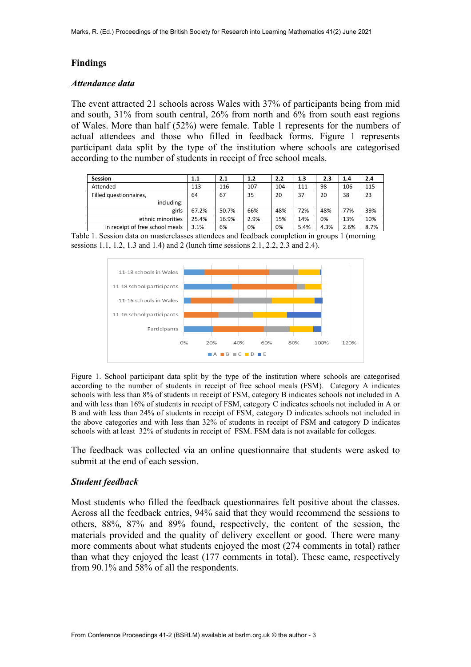# **Findings**

### *Attendance data*

The event attracted 21 schools across Wales with 37% of participants being from mid and south, 31% from south central, 26% from north and 6% from south east regions of Wales. More than half (52%) were female. Table 1 represents for the numbers of actual attendees and those who filled in feedback forms. Figure 1 represents participant data split by the type of the institution where schools are categorised according to the number of students in receipt of free school meals.

| <b>Session</b>                  | 1.1   | 2.1   | 1.2  | 2.2 | 1.3  | 2.3  | 1.4  | 2.4  |
|---------------------------------|-------|-------|------|-----|------|------|------|------|
| Attended                        | 113   | 116   | 107  | 104 | 111  | 98   | 106  | 115  |
| Filled questionnaires,          | 64    | 67    | 35   | 20  | 37   | 20   | 38   | 23   |
| including:                      |       |       |      |     |      |      |      |      |
| girls                           | 67.2% | 50.7% | 66%  | 48% | 72%  | 48%  | 77%  | 39%  |
| ethnic minorities               | 25.4% | 16.9% | 2.9% | 15% | 14%  | 0%   | 13%  | 10%  |
| in receipt of free school meals | 3.1%  | 6%    | 0%   | 0%  | 5.4% | 4.3% | 2.6% | 8.7% |

Table 1. Session data on masterclasses attendees and feedback completion in groups 1 (morning sessions 1.1, 1.2, 1.3 and 1.4) and 2 (lunch time sessions 2.1, 2.2, 2.3 and 2.4).



Figure 1. School participant data split by the type of the institution where schools are categorised according to the number of students in receipt of free school meals (FSM). Category A indicates schools with less than 8% of students in receipt of FSM, category B indicates schools not included in A and with less than 16% of students in receipt of FSM, category C indicates schools not included in A or B and with less than 24% of students in receipt of FSM, category D indicates schools not included in the above categories and with less than 32% of students in receipt of FSM and category D indicates schools with at least 32% of students in receipt of FSM. FSM data is not available for colleges.

The feedback was collected via an online questionnaire that students were asked to submit at the end of each session.

# *Student feedback*

Most students who filled the feedback questionnaires felt positive about the classes. Across all the feedback entries, 94% said that they would recommend the sessions to others, 88%, 87% and 89% found, respectively, the content of the session, the materials provided and the quality of delivery excellent or good. There were many more comments about what students enjoyed the most (274 comments in total) rather than what they enjoyed the least (177 comments in total). These came, respectively from 90.1% and 58% of all the respondents.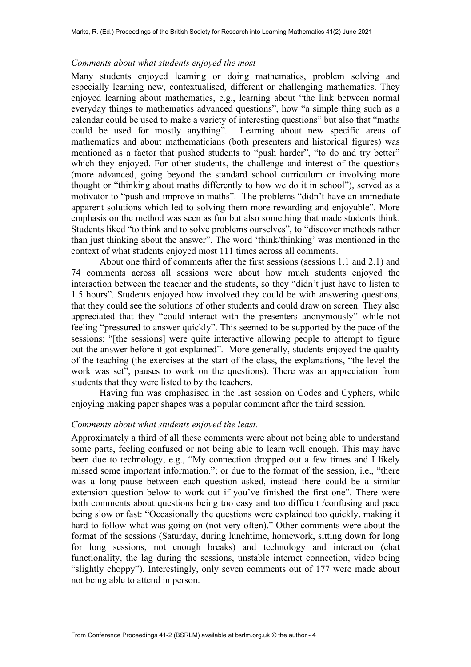#### *Comments about what students enjoyed the most*

Many students enjoyed learning or doing mathematics, problem solving and especially learning new, contextualised, different or challenging mathematics. They enjoyed learning about mathematics, e.g., learning about "the link between normal everyday things to mathematics advanced questions", how "a simple thing such as a calendar could be used to make a variety of interesting questions" but also that "maths could be used for mostly anything". Learning about new specific areas of mathematics and about mathematicians (both presenters and historical figures) was mentioned as a factor that pushed students to "push harder", "to do and try better" which they enjoyed. For other students, the challenge and interest of the questions (more advanced, going beyond the standard school curriculum or involving more thought or "thinking about maths differently to how we do it in school"), served as a motivator to "push and improve in maths". The problems "didn't have an immediate apparent solutions which led to solving them more rewarding and enjoyable". More emphasis on the method was seen as fun but also something that made students think. Students liked "to think and to solve problems ourselves", to "discover methods rather than just thinking about the answer". The word 'think/thinking' was mentioned in the context of what students enjoyed most 111 times across all comments.

About one third of comments after the first sessions (sessions 1.1 and 2.1) and 74 comments across all sessions were about how much students enjoyed the interaction between the teacher and the students, so they "didn't just have to listen to 1.5 hours". Students enjoyed how involved they could be with answering questions, that they could see the solutions of other students and could draw on screen. They also appreciated that they "could interact with the presenters anonymously" while not feeling "pressured to answer quickly". This seemed to be supported by the pace of the sessions: "[the sessions] were quite interactive allowing people to attempt to figure out the answer before it got explained". More generally, students enjoyed the quality of the teaching (the exercises at the start of the class, the explanations, "the level the work was set", pauses to work on the questions). There was an appreciation from students that they were listed to by the teachers.

Having fun was emphasised in the last session on Codes and Cyphers, while enjoying making paper shapes was a popular comment after the third session.

## *Comments about what students enjoyed the least.*

Approximately a third of all these comments were about not being able to understand some parts, feeling confused or not being able to learn well enough. This may have been due to technology, e.g., "My connection dropped out a few times and I likely missed some important information."; or due to the format of the session, i.e., "there was a long pause between each question asked, instead there could be a similar extension question below to work out if you've finished the first one". There were both comments about questions being too easy and too difficult /confusing and pace being slow or fast: "Occasionally the questions were explained too quickly, making it hard to follow what was going on (not very often)." Other comments were about the format of the sessions (Saturday, during lunchtime, homework, sitting down for long for long sessions, not enough breaks) and technology and interaction (chat functionality, the lag during the sessions, unstable internet connection, video being "slightly choppy"). Interestingly, only seven comments out of 177 were made about not being able to attend in person.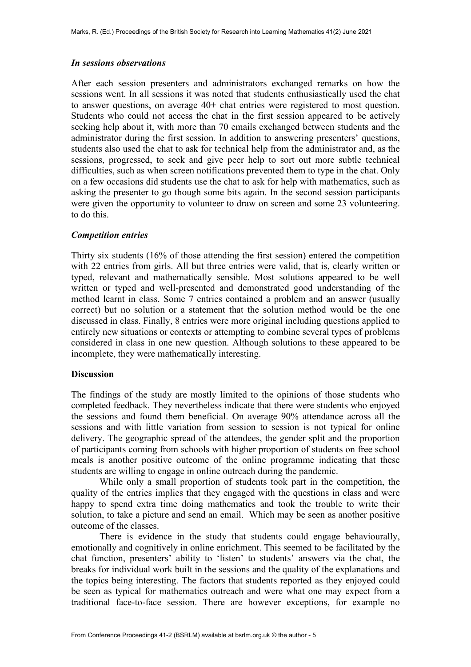# *In sessions observations*

After each session presenters and administrators exchanged remarks on how the sessions went. In all sessions it was noted that students enthusiastically used the chat to answer questions, on average 40+ chat entries were registered to most question. Students who could not access the chat in the first session appeared to be actively seeking help about it, with more than 70 emails exchanged between students and the administrator during the first session. In addition to answering presenters' questions, students also used the chat to ask for technical help from the administrator and, as the sessions, progressed, to seek and give peer help to sort out more subtle technical difficulties, such as when screen notifications prevented them to type in the chat. Only on a few occasions did students use the chat to ask for help with mathematics, such as asking the presenter to go though some bits again. In the second session participants were given the opportunity to volunteer to draw on screen and some 23 volunteering. to do this.

## *Competition entries*

Thirty six students (16% of those attending the first session) entered the competition with 22 entries from girls. All but three entries were valid, that is, clearly written or typed, relevant and mathematically sensible. Most solutions appeared to be well written or typed and well-presented and demonstrated good understanding of the method learnt in class. Some 7 entries contained a problem and an answer (usually correct) but no solution or a statement that the solution method would be the one discussed in class. Finally, 8 entries were more original including questions applied to entirely new situations or contexts or attempting to combine several types of problems considered in class in one new question. Although solutions to these appeared to be incomplete, they were mathematically interesting.

# **Discussion**

The findings of the study are mostly limited to the opinions of those students who completed feedback. They nevertheless indicate that there were students who enjoyed the sessions and found them beneficial. On average 90% attendance across all the sessions and with little variation from session to session is not typical for online delivery. The geographic spread of the attendees, the gender split and the proportion of participants coming from schools with higher proportion of students on free school meals is another positive outcome of the online programme indicating that these students are willing to engage in online outreach during the pandemic.

While only a small proportion of students took part in the competition, the quality of the entries implies that they engaged with the questions in class and were happy to spend extra time doing mathematics and took the trouble to write their solution, to take a picture and send an email. Which may be seen as another positive outcome of the classes.

There is evidence in the study that students could engage behaviourally, emotionally and cognitively in online enrichment. This seemed to be facilitated by the chat function, presenters' ability to 'listen' to students' answers via the chat, the breaks for individual work built in the sessions and the quality of the explanations and the topics being interesting. The factors that students reported as they enjoyed could be seen as typical for mathematics outreach and were what one may expect from a traditional face-to-face session. There are however exceptions, for example no